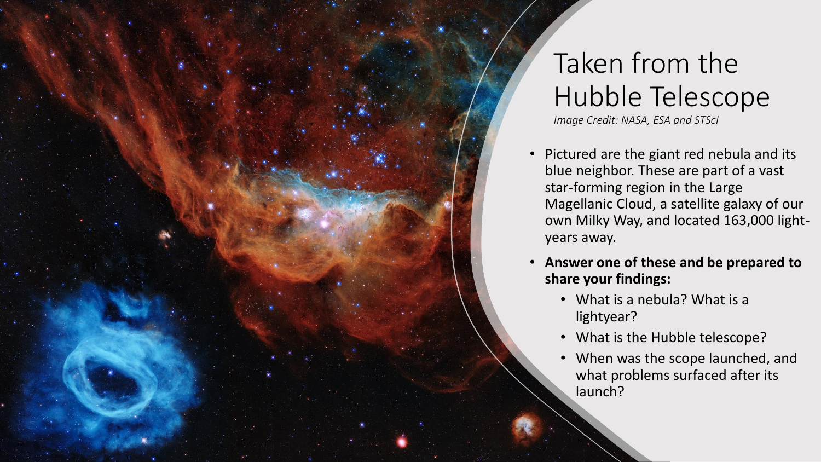## Taken from the Hubble Telescope

*Image Credit: NASA, ESA and STScI*

- Pictured are the giant red nebula and its blue neighbor. These are part of a vast star-forming region in the Large Magellanic Cloud, a satellite galaxy of our own Milky Way, and located 163,000 lightyears away.
- **Answer one of these and be prepared to share your findings:**
	- What is a nebula? What is a lightyear?
	- What is the Hubble telescope?
	- When was the scope launched, and what problems surfaced after its launch?